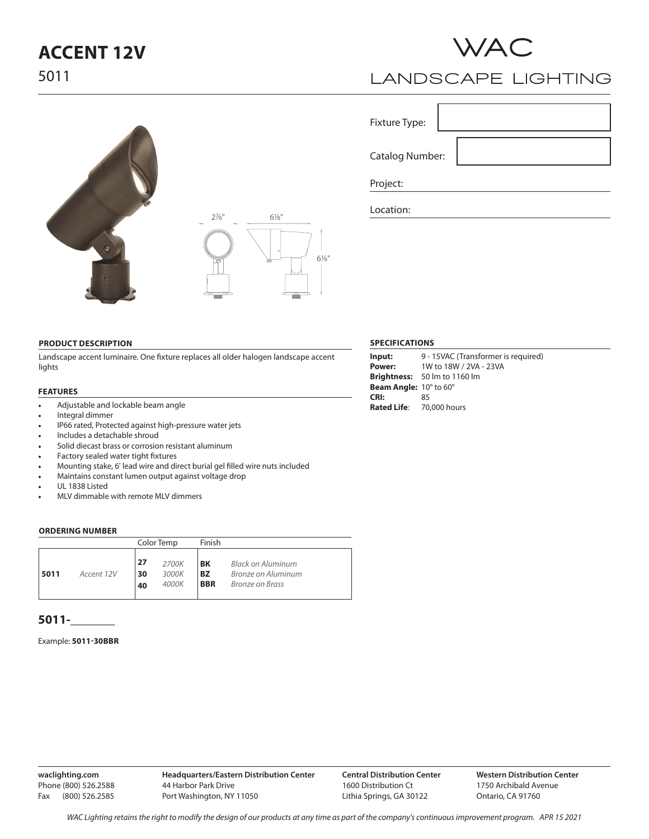# **ACCENT 12V**

5011



## **LANDSCAPE LIGHTING**

Fixture Type:

Catalog Number:

Project:

Location:

### **PRODUCT DESCRIPTION**

Landscape accent luminaire. One fixture replaces all older halogen landscape accent lights

#### **FEATURES**

- Adjustable and lockable beam angle
- Integral dimmer
- IP66 rated, Protected against high-pressure water jets
- Includes a detachable shroud
- Solid diecast brass or corrosion resistant aluminum
- Factory sealed water tight fixtures
- Mounting stake, 6' lead wire and direct burial gel filled wire nuts included
- Maintains constant lumen output against voltage drop
- UL 1838 Listed
- MLV dimmable with remote MLV dimmers

#### **ORDERING NUMBER**

|                    | Color Temp     |                         | Finish                        |                                                                   |
|--------------------|----------------|-------------------------|-------------------------------|-------------------------------------------------------------------|
| 5011<br>Accent 12V | 27<br>30<br>40 | 2700K<br>3000K<br>4000K | BK<br><b>BZ</b><br><b>BBR</b> | Black on Aluminum<br>Bronze on Aluminum<br><b>Bronze on Brass</b> |

## **5011-\_\_\_\_\_\_\_**

### Example: **5011-30BBR**

**waclighting.com** Phone (800) 526.2588 Fax (800) 526.2585

## **SPECIFICATIONS**

| 9 - 15VAC (Transformer is required) |
|-------------------------------------|
|                                     |
|                                     |
|                                     |
|                                     |
|                                     |
|                                     |